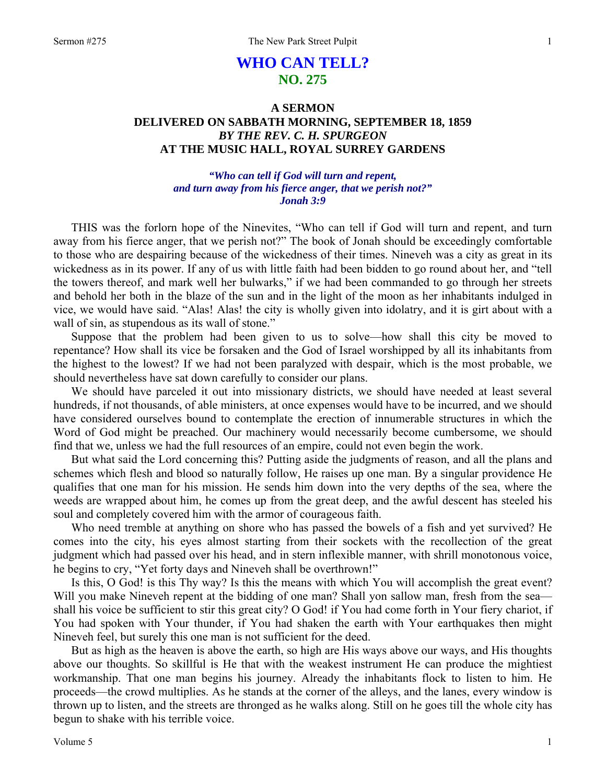# **WHO CAN TELL? NO. 275**

# **A SERMON DELIVERED ON SABBATH MORNING, SEPTEMBER 18, 1859**  *BY THE REV. C. H. SPURGEON*  **AT THE MUSIC HALL, ROYAL SURREY GARDENS**

# *"Who can tell if God will turn and repent, and turn away from his fierce anger, that we perish not?" Jonah 3:9*

THIS was the forlorn hope of the Ninevites, "Who can tell if God will turn and repent, and turn away from his fierce anger, that we perish not?" The book of Jonah should be exceedingly comfortable to those who are despairing because of the wickedness of their times. Nineveh was a city as great in its wickedness as in its power. If any of us with little faith had been bidden to go round about her, and "tell the towers thereof, and mark well her bulwarks," if we had been commanded to go through her streets and behold her both in the blaze of the sun and in the light of the moon as her inhabitants indulged in vice, we would have said. "Alas! Alas! the city is wholly given into idolatry, and it is girt about with a wall of sin, as stupendous as its wall of stone."

Suppose that the problem had been given to us to solve—how shall this city be moved to repentance? How shall its vice be forsaken and the God of Israel worshipped by all its inhabitants from the highest to the lowest? If we had not been paralyzed with despair, which is the most probable, we should nevertheless have sat down carefully to consider our plans.

We should have parceled it out into missionary districts, we should have needed at least several hundreds, if not thousands, of able ministers, at once expenses would have to be incurred, and we should have considered ourselves bound to contemplate the erection of innumerable structures in which the Word of God might be preached. Our machinery would necessarily become cumbersome, we should find that we, unless we had the full resources of an empire, could not even begin the work.

But what said the Lord concerning this? Putting aside the judgments of reason, and all the plans and schemes which flesh and blood so naturally follow, He raises up one man. By a singular providence He qualifies that one man for his mission. He sends him down into the very depths of the sea, where the weeds are wrapped about him, he comes up from the great deep, and the awful descent has steeled his soul and completely covered him with the armor of courageous faith.

Who need tremble at anything on shore who has passed the bowels of a fish and yet survived? He comes into the city, his eyes almost starting from their sockets with the recollection of the great judgment which had passed over his head, and in stern inflexible manner, with shrill monotonous voice, he begins to cry, "Yet forty days and Nineveh shall be overthrown!"

Is this, O God! is this Thy way? Is this the means with which You will accomplish the great event? Will you make Nineveh repent at the bidding of one man? Shall yon sallow man, fresh from the sea shall his voice be sufficient to stir this great city? O God! if You had come forth in Your fiery chariot, if You had spoken with Your thunder, if You had shaken the earth with Your earthquakes then might Nineveh feel, but surely this one man is not sufficient for the deed.

But as high as the heaven is above the earth, so high are His ways above our ways, and His thoughts above our thoughts. So skillful is He that with the weakest instrument He can produce the mightiest workmanship. That one man begins his journey. Already the inhabitants flock to listen to him. He proceeds—the crowd multiplies. As he stands at the corner of the alleys, and the lanes, every window is thrown up to listen, and the streets are thronged as he walks along. Still on he goes till the whole city has begun to shake with his terrible voice.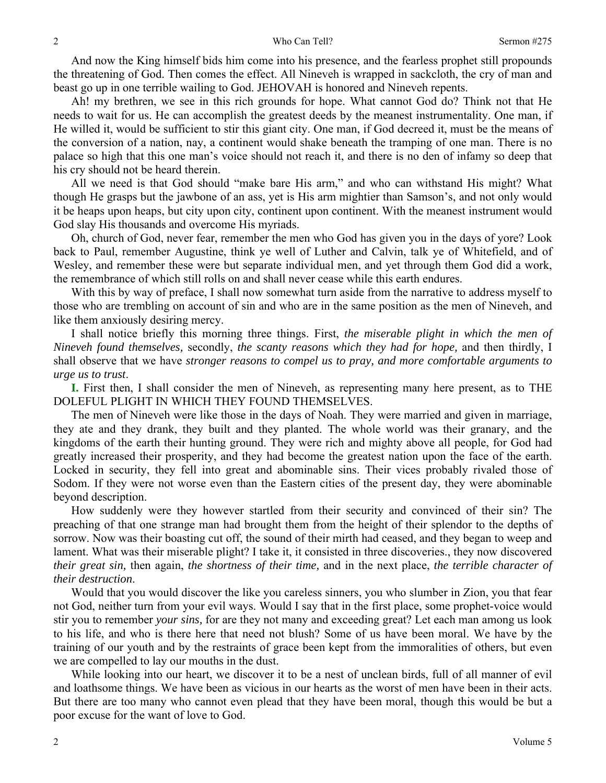And now the King himself bids him come into his presence, and the fearless prophet still propounds the threatening of God. Then comes the effect. All Nineveh is wrapped in sackcloth, the cry of man and beast go up in one terrible wailing to God. JEHOVAH is honored and Nineveh repents.

Ah! my brethren, we see in this rich grounds for hope. What cannot God do? Think not that He needs to wait for us. He can accomplish the greatest deeds by the meanest instrumentality. One man, if He willed it, would be sufficient to stir this giant city. One man, if God decreed it, must be the means of the conversion of a nation, nay, a continent would shake beneath the tramping of one man. There is no palace so high that this one man's voice should not reach it, and there is no den of infamy so deep that his cry should not be heard therein.

All we need is that God should "make bare His arm," and who can withstand His might? What though He grasps but the jawbone of an ass, yet is His arm mightier than Samson's, and not only would it be heaps upon heaps, but city upon city, continent upon continent. With the meanest instrument would God slay His thousands and overcome His myriads.

Oh, church of God, never fear, remember the men who God has given you in the days of yore? Look back to Paul, remember Augustine, think ye well of Luther and Calvin, talk ye of Whitefield, and of Wesley, and remember these were but separate individual men, and yet through them God did a work, the remembrance of which still rolls on and shall never cease while this earth endures.

With this by way of preface, I shall now somewhat turn aside from the narrative to address myself to those who are trembling on account of sin and who are in the same position as the men of Nineveh, and like them anxiously desiring mercy.

I shall notice briefly this morning three things. First, *the miserable plight in which the men of Nineveh found themselves,* secondly, *the scanty reasons which they had for hope,* and then thirdly, I shall observe that we have *stronger reasons to compel us to pray, and more comfortable arguments to urge us to trust*.

**I.** First then, I shall consider the men of Nineveh, as representing many here present, as to THE DOLEFUL PLIGHT IN WHICH THEY FOUND THEMSELVES.

The men of Nineveh were like those in the days of Noah. They were married and given in marriage, they ate and they drank, they built and they planted. The whole world was their granary, and the kingdoms of the earth their hunting ground. They were rich and mighty above all people, for God had greatly increased their prosperity, and they had become the greatest nation upon the face of the earth. Locked in security, they fell into great and abominable sins. Their vices probably rivaled those of Sodom. If they were not worse even than the Eastern cities of the present day, they were abominable beyond description.

How suddenly were they however startled from their security and convinced of their sin? The preaching of that one strange man had brought them from the height of their splendor to the depths of sorrow. Now was their boasting cut off, the sound of their mirth had ceased, and they began to weep and lament. What was their miserable plight? I take it, it consisted in three discoveries., they now discovered *their great sin,* then again, *the shortness of their time,* and in the next place, *the terrible character of their destruction*.

Would that you would discover the like you careless sinners, you who slumber in Zion, you that fear not God, neither turn from your evil ways. Would I say that in the first place, some prophet-voice would stir you to remember *your sins,* for are they not many and exceeding great? Let each man among us look to his life, and who is there here that need not blush? Some of us have been moral. We have by the training of our youth and by the restraints of grace been kept from the immoralities of others, but even we are compelled to lay our mouths in the dust.

While looking into our heart, we discover it to be a nest of unclean birds, full of all manner of evil and loathsome things. We have been as vicious in our hearts as the worst of men have been in their acts. But there are too many who cannot even plead that they have been moral, though this would be but a poor excuse for the want of love to God.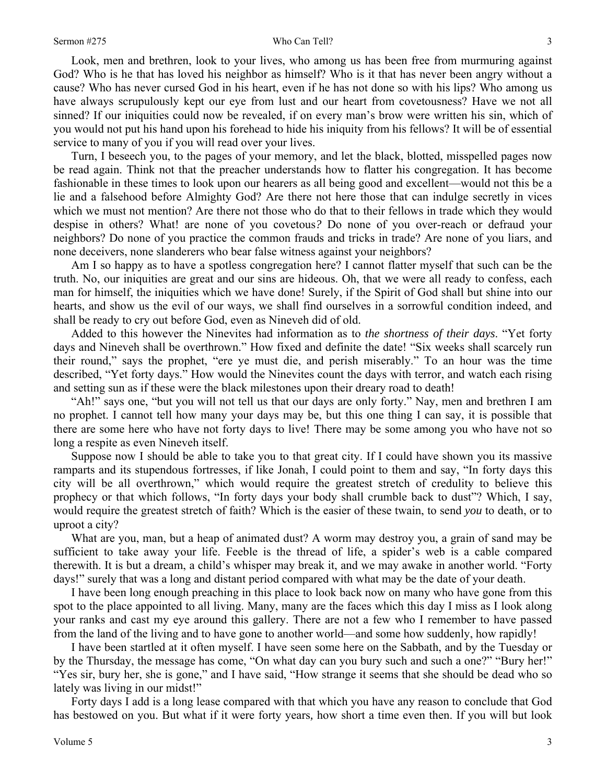Look, men and brethren, look to your lives, who among us has been free from murmuring against God? Who is he that has loved his neighbor as himself? Who is it that has never been angry without a cause? Who has never cursed God in his heart, even if he has not done so with his lips? Who among us have always scrupulously kept our eye from lust and our heart from covetousness? Have we not all sinned? If our iniquities could now be revealed, if on every man's brow were written his sin, which of you would not put his hand upon his forehead to hide his iniquity from his fellows? It will be of essential service to many of you if you will read over your lives.

Turn, I beseech you, to the pages of your memory, and let the black, blotted, misspelled pages now be read again. Think not that the preacher understands how to flatter his congregation. It has become fashionable in these times to look upon our hearers as all being good and excellent—would not this be a lie and a falsehood before Almighty God? Are there not here those that can indulge secretly in vices which we must not mention? Are there not those who do that to their fellows in trade which they would despise in others? What! are none of you covetous*?* Do none of you over-reach or defraud your neighbors? Do none of you practice the common frauds and tricks in trade? Are none of you liars, and none deceivers, none slanderers who bear false witness against your neighbors?

Am I so happy as to have a spotless congregation here? I cannot flatter myself that such can be the truth. No, our iniquities are great and our sins are hideous. Oh, that we were all ready to confess, each man for himself, the iniquities which we have done! Surely, if the Spirit of God shall but shine into our hearts, and show us the evil of our ways, we shall find ourselves in a sorrowful condition indeed, and shall be ready to cry out before God, even as Nineveh did of old.

Added to this however the Ninevites had information as to *the shortness of their days*. "Yet forty days and Nineveh shall be overthrown." How fixed and definite the date! "Six weeks shall scarcely run their round," says the prophet, "ere ye must die, and perish miserably." To an hour was the time described, "Yet forty days." How would the Ninevites count the days with terror, and watch each rising and setting sun as if these were the black milestones upon their dreary road to death!

"Ah!" says one, "but you will not tell us that our days are only forty." Nay, men and brethren I am no prophet. I cannot tell how many your days may be, but this one thing I can say, it is possible that there are some here who have not forty days to live! There may be some among you who have not so long a respite as even Nineveh itself.

Suppose now I should be able to take you to that great city. If I could have shown you its massive ramparts and its stupendous fortresses, if like Jonah, I could point to them and say, "In forty days this city will be all overthrown," which would require the greatest stretch of credulity to believe this prophecy or that which follows, "In forty days your body shall crumble back to dust"? Which, I say, would require the greatest stretch of faith? Which is the easier of these twain, to send *you* to death, or to uproot a city?

What are you, man, but a heap of animated dust? A worm may destroy you, a grain of sand may be sufficient to take away your life. Feeble is the thread of life, a spider's web is a cable compared therewith. It is but a dream, a child's whisper may break it, and we may awake in another world. "Forty days!" surely that was a long and distant period compared with what may be the date of your death.

I have been long enough preaching in this place to look back now on many who have gone from this spot to the place appointed to all living. Many, many are the faces which this day I miss as I look along your ranks and cast my eye around this gallery. There are not a few who I remember to have passed from the land of the living and to have gone to another world—and some how suddenly, how rapidly!

I have been startled at it often myself. I have seen some here on the Sabbath, and by the Tuesday or by the Thursday, the message has come, "On what day can you bury such and such a one?" "Bury her!" "Yes sir, bury her, she is gone," and I have said, "How strange it seems that she should be dead who so lately was living in our midst!"

Forty days I add is a long lease compared with that which you have any reason to conclude that God has bestowed on you. But what if it were forty years*,* how short a time even then. If you will but look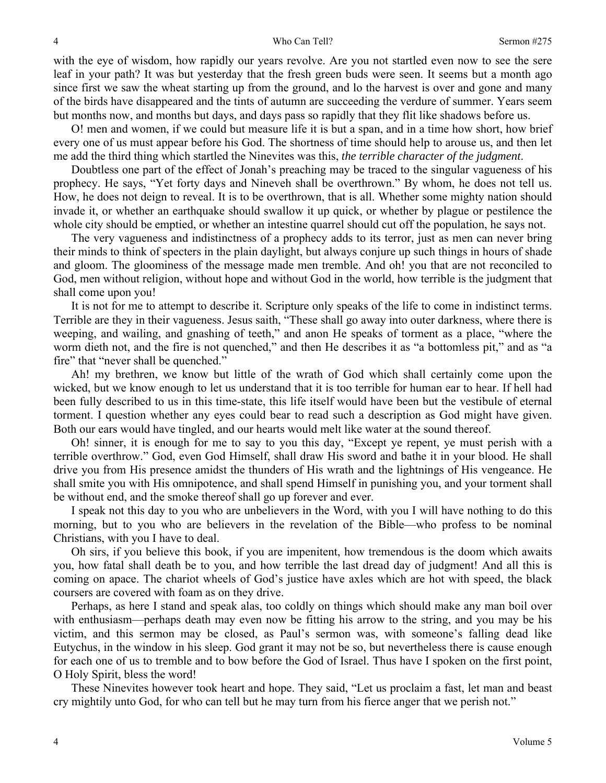#### Who Can Tell? Sermon #275

with the eye of wisdom, how rapidly our years revolve. Are you not startled even now to see the sere leaf in your path? It was but yesterday that the fresh green buds were seen. It seems but a month ago since first we saw the wheat starting up from the ground, and lo the harvest is over and gone and many of the birds have disappeared and the tints of autumn are succeeding the verdure of summer. Years seem but months now, and months but days, and days pass so rapidly that they flit like shadows before us.

O! men and women, if we could but measure life it is but a span, and in a time how short, how brief every one of us must appear before his God. The shortness of time should help to arouse us, and then let me add the third thing which startled the Ninevites was this, *the terrible character of the judgment*.

Doubtless one part of the effect of Jonah's preaching may be traced to the singular vagueness of his prophecy. He says, "Yet forty days and Nineveh shall be overthrown." By whom, he does not tell us. How, he does not deign to reveal. It is to be overthrown, that is all. Whether some mighty nation should invade it, or whether an earthquake should swallow it up quick, or whether by plague or pestilence the whole city should be emptied, or whether an intestine quarrel should cut off the population, he says not.

The very vagueness and indistinctness of a prophecy adds to its terror, just as men can never bring their minds to think of specters in the plain daylight, but always conjure up such things in hours of shade and gloom. The gloominess of the message made men tremble. And oh! you that are not reconciled to God, men without religion, without hope and without God in the world, how terrible is the judgment that shall come upon you!

It is not for me to attempt to describe it. Scripture only speaks of the life to come in indistinct terms. Terrible are they in their vagueness. Jesus saith, "These shall go away into outer darkness, where there is weeping, and wailing, and gnashing of teeth," and anon He speaks of torment as a place, "where the worm dieth not, and the fire is not quenched," and then He describes it as "a bottomless pit," and as "a fire" that "never shall be quenched."

Ah! my brethren, we know but little of the wrath of God which shall certainly come upon the wicked, but we know enough to let us understand that it is too terrible for human ear to hear. If hell had been fully described to us in this time-state, this life itself would have been but the vestibule of eternal torment. I question whether any eyes could bear to read such a description as God might have given. Both our ears would have tingled, and our hearts would melt like water at the sound thereof.

Oh! sinner, it is enough for me to say to you this day, "Except ye repent, ye must perish with a terrible overthrow." God, even God Himself, shall draw His sword and bathe it in your blood. He shall drive you from His presence amidst the thunders of His wrath and the lightnings of His vengeance. He shall smite you with His omnipotence, and shall spend Himself in punishing you, and your torment shall be without end, and the smoke thereof shall go up forever and ever.

I speak not this day to you who are unbelievers in the Word, with you I will have nothing to do this morning, but to you who are believers in the revelation of the Bible—who profess to be nominal Christians, with you I have to deal.

Oh sirs, if you believe this book, if you are impenitent, how tremendous is the doom which awaits you, how fatal shall death be to you, and how terrible the last dread day of judgment! And all this is coming on apace. The chariot wheels of God's justice have axles which are hot with speed, the black coursers are covered with foam as on they drive.

Perhaps, as here I stand and speak alas, too coldly on things which should make any man boil over with enthusiasm—perhaps death may even now be fitting his arrow to the string, and you may be his victim, and this sermon may be closed, as Paul's sermon was, with someone's falling dead like Eutychus, in the window in his sleep. God grant it may not be so, but nevertheless there is cause enough for each one of us to tremble and to bow before the God of Israel. Thus have I spoken on the first point, O Holy Spirit, bless the word!

These Ninevites however took heart and hope. They said, "Let us proclaim a fast, let man and beast cry mightily unto God, for who can tell but he may turn from his fierce anger that we perish not."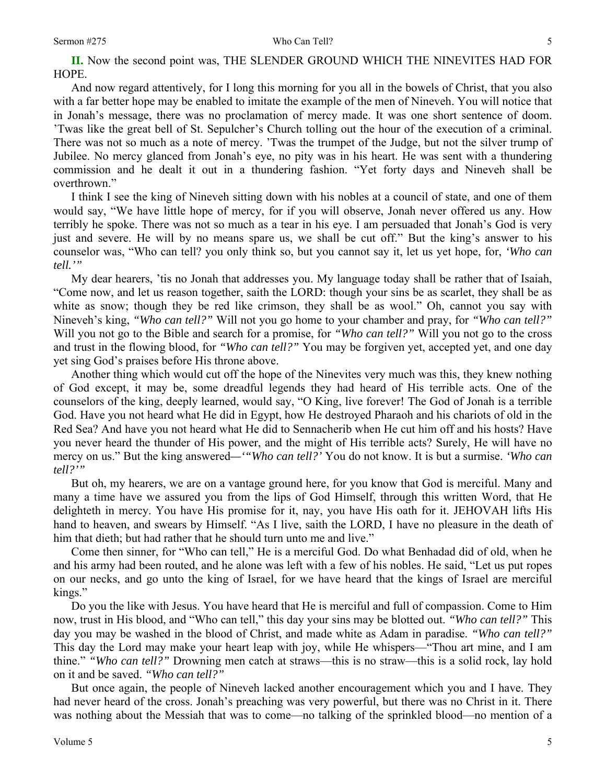#### Sermon #275 Who Can Tell?

5

**II.** Now the second point was, THE SLENDER GROUND WHICH THE NINEVITES HAD FOR HOPE.

And now regard attentively, for I long this morning for you all in the bowels of Christ, that you also with a far better hope may be enabled to imitate the example of the men of Nineveh. You will notice that in Jonah's message, there was no proclamation of mercy made. It was one short sentence of doom. 'Twas like the great bell of St. Sepulcher's Church tolling out the hour of the execution of a criminal. There was not so much as a note of mercy. 'Twas the trumpet of the Judge, but not the silver trump of Jubilee. No mercy glanced from Jonah's eye, no pity was in his heart. He was sent with a thundering commission and he dealt it out in a thundering fashion. "Yet forty days and Nineveh shall be overthrown."

I think I see the king of Nineveh sitting down with his nobles at a council of state, and one of them would say, "We have little hope of mercy, for if you will observe, Jonah never offered us any. How terribly he spoke. There was not so much as a tear in his eye. I am persuaded that Jonah's God is very just and severe. He will by no means spare us, we shall be cut off." But the king's answer to his counselor was, "Who can tell? you only think so, but you cannot say it, let us yet hope, for, *'Who can tell.'"* 

My dear hearers, 'tis no Jonah that addresses you. My language today shall be rather that of Isaiah, "Come now, and let us reason together, saith the LORD: though your sins be as scarlet, they shall be as white as snow; though they be red like crimson, they shall be as wool." Oh, cannot you say with Nineveh's king, *"Who can tell?"* Will not you go home to your chamber and pray, for *"Who can tell?"* Will you not go to the Bible and search for a promise, for *"Who can tell?"* Will you not go to the cross and trust in the flowing blood, for *"Who can tell?"* You may be forgiven yet, accepted yet, and one day yet sing God's praises before His throne above.

Another thing which would cut off the hope of the Ninevites very much was this, they knew nothing of God except, it may be, some dreadful legends they had heard of His terrible acts. One of the counselors of the king, deeply learned, would say, "O King, live forever! The God of Jonah is a terrible God. Have you not heard what He did in Egypt, how He destroyed Pharaoh and his chariots of old in the Red Sea? And have you not heard what He did to Sennacherib when He cut him off and his hosts? Have you never heard the thunder of His power, and the might of His terrible acts? Surely, He will have no mercy on us." But the king answered*—'"Who can tell?'* You do not know. It is but a surmise. *'Who can tell?'"*

But oh, my hearers, we are on a vantage ground here, for you know that God is merciful. Many and many a time have we assured you from the lips of God Himself, through this written Word, that He delighteth in mercy. You have His promise for it, nay, you have His oath for it. JEHOVAH lifts His hand to heaven, and swears by Himself. "As I live, saith the LORD, I have no pleasure in the death of him that dieth; but had rather that he should turn unto me and live."

Come then sinner, for "Who can tell," He is a merciful God. Do what Benhadad did of old, when he and his army had been routed, and he alone was left with a few of his nobles. He said, "Let us put ropes on our necks, and go unto the king of Israel, for we have heard that the kings of Israel are merciful kings."

Do you the like with Jesus. You have heard that He is merciful and full of compassion. Come to Him now, trust in His blood, and "Who can tell," this day your sins may be blotted out. *"Who can tell?"* This day you may be washed in the blood of Christ, and made white as Adam in paradise. *"Who can tell?"* This day the Lord may make your heart leap with joy, while He whispers—"Thou art mine, and I am thine." *"Who can tell?"* Drowning men catch at straws—this is no straw—this is a solid rock, lay hold on it and be saved. *"Who can tell?"* 

But once again, the people of Nineveh lacked another encouragement which you and I have. They had never heard of the cross. Jonah's preaching was very powerful, but there was no Christ in it. There was nothing about the Messiah that was to come—no talking of the sprinkled blood—no mention of a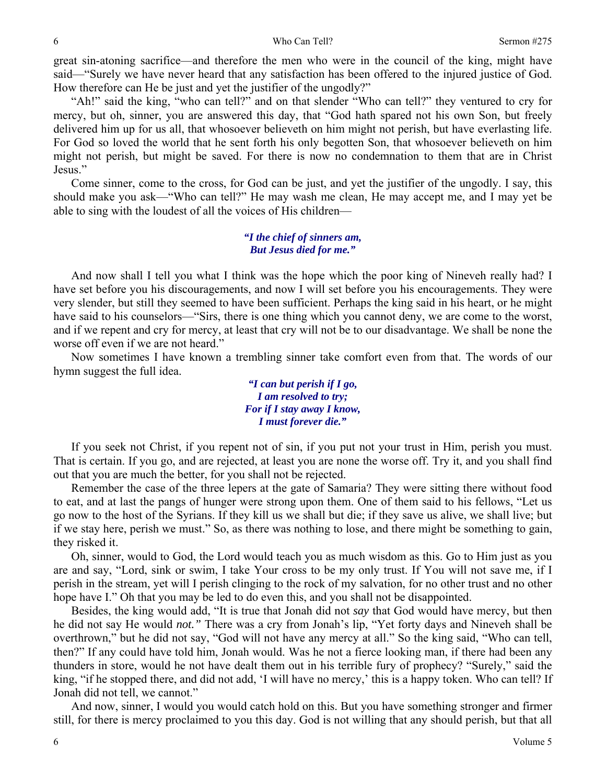great sin-atoning sacrifice—and therefore the men who were in the council of the king, might have said—"Surely we have never heard that any satisfaction has been offered to the injured justice of God. How therefore can He be just and yet the justifier of the ungodly?"

"Ah!" said the king, "who can tell?" and on that slender "Who can tell?" they ventured to cry for mercy, but oh, sinner, you are answered this day, that "God hath spared not his own Son, but freely delivered him up for us all, that whosoever believeth on him might not perish, but have everlasting life. For God so loved the world that he sent forth his only begotten Son, that whosoever believeth on him might not perish, but might be saved. For there is now no condemnation to them that are in Christ Jesus."

Come sinner, come to the cross, for God can be just, and yet the justifier of the ungodly. I say, this should make you ask—"Who can tell?" He may wash me clean, He may accept me, and I may yet be able to sing with the loudest of all the voices of His children—

## *"I the chief of sinners am, But Jesus died for me."*

And now shall I tell you what I think was the hope which the poor king of Nineveh really had? I have set before you his discouragements, and now I will set before you his encouragements. They were very slender, but still they seemed to have been sufficient. Perhaps the king said in his heart, or he might have said to his counselors—"Sirs, there is one thing which you cannot deny, we are come to the worst, and if we repent and cry for mercy, at least that cry will not be to our disadvantage. We shall be none the worse off even if we are not heard."

Now sometimes I have known a trembling sinner take comfort even from that. The words of our hymn suggest the full idea.

> *"I can but perish if I go, I am resolved to try; For if I stay away I know, I must forever die."*

If you seek not Christ, if you repent not of sin, if you put not your trust in Him, perish you must. That is certain. If you go, and are rejected, at least you are none the worse off. Try it, and you shall find out that you are much the better, for you shall not be rejected.

Remember the case of the three lepers at the gate of Samaria? They were sitting there without food to eat, and at last the pangs of hunger were strong upon them. One of them said to his fellows, "Let us go now to the host of the Syrians. If they kill us we shall but die; if they save us alive, we shall live; but if we stay here, perish we must." So, as there was nothing to lose, and there might be something to gain, they risked it.

Oh, sinner, would to God, the Lord would teach you as much wisdom as this. Go to Him just as you are and say, "Lord, sink or swim, I take Your cross to be my only trust. If You will not save me, if I perish in the stream, yet will I perish clinging to the rock of my salvation, for no other trust and no other hope have I." Oh that you may be led to do even this, and you shall not be disappointed.

Besides, the king would add, "It is true that Jonah did not *say* that God would have mercy, but then he did not say He would *not."* There was a cry from Jonah's lip, "Yet forty days and Nineveh shall be overthrown," but he did not say, "God will not have any mercy at all." So the king said, "Who can tell, then?" If any could have told him, Jonah would. Was he not a fierce looking man, if there had been any thunders in store, would he not have dealt them out in his terrible fury of prophecy? "Surely," said the king, "if he stopped there, and did not add, 'I will have no mercy,' this is a happy token. Who can tell? If Jonah did not tell, we cannot."

And now, sinner, I would you would catch hold on this. But you have something stronger and firmer still, for there is mercy proclaimed to you this day. God is not willing that any should perish, but that all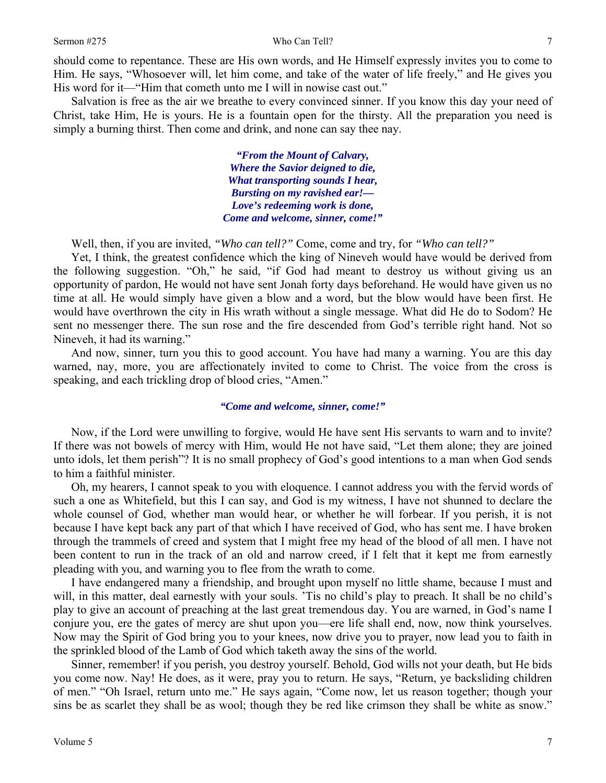#### Sermon #275 Who Can Tell?

should come to repentance. These are His own words, and He Himself expressly invites you to come to Him. He says, "Whosoever will, let him come, and take of the water of life freely," and He gives you His word for it—"Him that cometh unto me I will in nowise cast out."

Salvation is free as the air we breathe to every convinced sinner. If you know this day your need of Christ, take Him, He is yours. He is a fountain open for the thirsty. All the preparation you need is simply a burning thirst. Then come and drink, and none can say thee nay.

> *"From the Mount of Calvary, Where the Savior deigned to die, What transporting sounds I hear, Bursting on my ravished ear!— Love's redeeming work is done, Come and welcome, sinner, come!"*

Well, then, if you are invited, *"Who can tell?"* Come, come and try, for *"Who can tell?"*

Yet, I think, the greatest confidence which the king of Nineveh would have would be derived from the following suggestion. "Oh," he said, "if God had meant to destroy us without giving us an opportunity of pardon, He would not have sent Jonah forty days beforehand. He would have given us no time at all. He would simply have given a blow and a word, but the blow would have been first. He would have overthrown the city in His wrath without a single message. What did He do to Sodom? He sent no messenger there. The sun rose and the fire descended from God's terrible right hand. Not so Nineveh, it had its warning."

And now, sinner, turn you this to good account. You have had many a warning. You are this day warned, nay, more, you are affectionately invited to come to Christ. The voice from the cross is speaking, and each trickling drop of blood cries, "Amen."

### *"Come and welcome, sinner, come!"*

Now, if the Lord were unwilling to forgive, would He have sent His servants to warn and to invite? If there was not bowels of mercy with Him, would He not have said, "Let them alone; they are joined unto idols, let them perish"? It is no small prophecy of God's good intentions to a man when God sends to him a faithful minister.

Oh, my hearers, I cannot speak to you with eloquence. I cannot address you with the fervid words of such a one as Whitefield, but this I can say, and God is my witness, I have not shunned to declare the whole counsel of God, whether man would hear, or whether he will forbear. If you perish, it is not because I have kept back any part of that which I have received of God, who has sent me. I have broken through the trammels of creed and system that I might free my head of the blood of all men. I have not been content to run in the track of an old and narrow creed, if I felt that it kept me from earnestly pleading with you, and warning you to flee from the wrath to come.

I have endangered many a friendship, and brought upon myself no little shame, because I must and will, in this matter, deal earnestly with your souls. This no child's play to preach. It shall be no child's play to give an account of preaching at the last great tremendous day. You are warned, in God's name I conjure you, ere the gates of mercy are shut upon you—ere life shall end, now, now think yourselves. Now may the Spirit of God bring you to your knees, now drive you to prayer, now lead you to faith in the sprinkled blood of the Lamb of God which taketh away the sins of the world.

Sinner, remember! if you perish, you destroy yourself. Behold, God wills not your death, but He bids you come now. Nay! He does, as it were, pray you to return. He says, "Return, ye backsliding children of men." "Oh Israel, return unto me." He says again, "Come now, let us reason together; though your sins be as scarlet they shall be as wool; though they be red like crimson they shall be white as snow."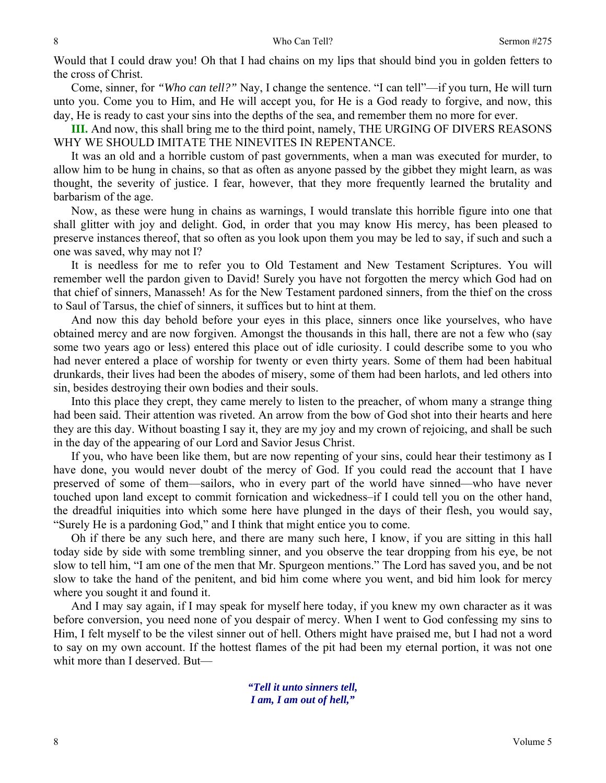Would that I could draw you! Oh that I had chains on my lips that should bind you in golden fetters to the cross of Christ.

Come, sinner, for *"Who can tell?"* Nay, I change the sentence. "I can tell"—if you turn, He will turn unto you. Come you to Him, and He will accept you, for He is a God ready to forgive, and now, this day, He is ready to cast your sins into the depths of the sea, and remember them no more for ever.

**III.** And now, this shall bring me to the third point, namely, THE URGING OF DIVERS REASONS WHY WE SHOULD IMITATE THE NINEVITES IN REPENTANCE.

It was an old and a horrible custom of past governments, when a man was executed for murder, to allow him to be hung in chains, so that as often as anyone passed by the gibbet they might learn, as was thought, the severity of justice. I fear, however, that they more frequently learned the brutality and barbarism of the age.

Now, as these were hung in chains as warnings, I would translate this horrible figure into one that shall glitter with joy and delight. God, in order that you may know His mercy, has been pleased to preserve instances thereof, that so often as you look upon them you may be led to say, if such and such a one was saved, why may not I?

It is needless for me to refer you to Old Testament and New Testament Scriptures. You will remember well the pardon given to David! Surely you have not forgotten the mercy which God had on that chief of sinners, Manasseh! As for the New Testament pardoned sinners, from the thief on the cross to Saul of Tarsus, the chief of sinners, it suffices but to hint at them.

And now this day behold before your eyes in this place, sinners once like yourselves, who have obtained mercy and are now forgiven. Amongst the thousands in this hall, there are not a few who (say some two years ago or less) entered this place out of idle curiosity. I could describe some to you who had never entered a place of worship for twenty or even thirty years. Some of them had been habitual drunkards, their lives had been the abodes of misery, some of them had been harlots, and led others into sin, besides destroying their own bodies and their souls.

Into this place they crept, they came merely to listen to the preacher, of whom many a strange thing had been said. Their attention was riveted. An arrow from the bow of God shot into their hearts and here they are this day. Without boasting I say it, they are my joy and my crown of rejoicing, and shall be such in the day of the appearing of our Lord and Savior Jesus Christ.

If you, who have been like them, but are now repenting of your sins, could hear their testimony as I have done, you would never doubt of the mercy of God. If you could read the account that I have preserved of some of them—sailors, who in every part of the world have sinned—who have never touched upon land except to commit fornication and wickedness–if I could tell you on the other hand, the dreadful iniquities into which some here have plunged in the days of their flesh, you would say, "Surely He is a pardoning God," and I think that might entice you to come.

Oh if there be any such here, and there are many such here, I know, if you are sitting in this hall today side by side with some trembling sinner, and you observe the tear dropping from his eye, be not slow to tell him, "I am one of the men that Mr. Spurgeon mentions." The Lord has saved you, and be not slow to take the hand of the penitent, and bid him come where you went, and bid him look for mercy where you sought it and found it.

And I may say again, if I may speak for myself here today, if you knew my own character as it was before conversion, you need none of you despair of mercy. When I went to God confessing my sins to Him, I felt myself to be the vilest sinner out of hell. Others might have praised me, but I had not a word to say on my own account. If the hottest flames of the pit had been my eternal portion, it was not one whit more than I deserved. But—

> *"Tell it unto sinners tell, I am, I am out of hell,"*

8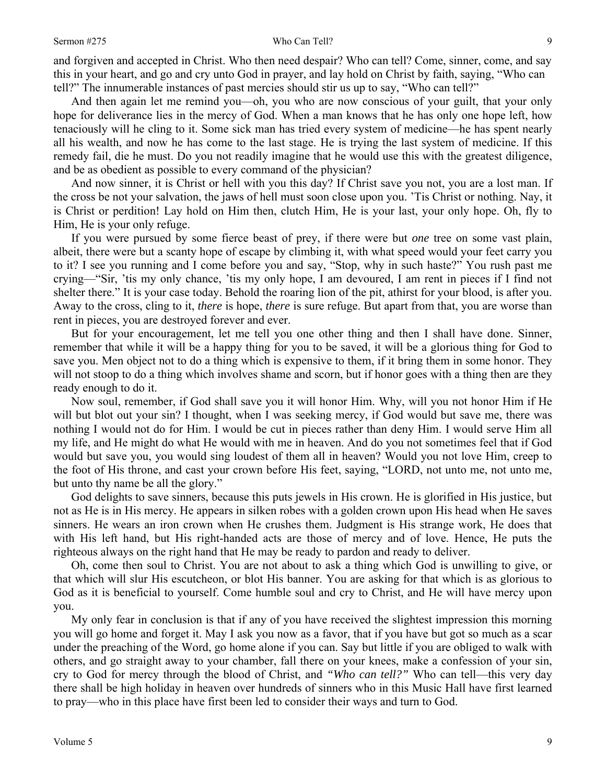#### Sermon #275 Who Can Tell?

and forgiven and accepted in Christ. Who then need despair? Who can tell? Come, sinner, come, and say this in your heart, and go and cry unto God in prayer, and lay hold on Christ by faith, saying, "Who can tell?" The innumerable instances of past mercies should stir us up to say, "Who can tell?"

And then again let me remind you—oh, you who are now conscious of your guilt, that your only hope for deliverance lies in the mercy of God. When a man knows that he has only one hope left, how tenaciously will he cling to it. Some sick man has tried every system of medicine—he has spent nearly all his wealth, and now he has come to the last stage. He is trying the last system of medicine. If this remedy fail, die he must. Do you not readily imagine that he would use this with the greatest diligence, and be as obedient as possible to every command of the physician?

And now sinner, it is Christ or hell with you this day? If Christ save you not, you are a lost man. If the cross be not your salvation, the jaws of hell must soon close upon you. 'Tis Christ or nothing. Nay, it is Christ or perdition! Lay hold on Him then, clutch Him, He is your last, your only hope. Oh, fly to Him, He is your only refuge.

If you were pursued by some fierce beast of prey, if there were but *one* tree on some vast plain, albeit, there were but a scanty hope of escape by climbing it, with what speed would your feet carry you to it? I see you running and I come before you and say, "Stop, why in such haste?" You rush past me crying—"Sir, 'tis my only chance, 'tis my only hope, I am devoured, I am rent in pieces if I find not shelter there." It is your case today. Behold the roaring lion of the pit, athirst for your blood, is after you. Away to the cross, cling to it, *there* is hope, *there* is sure refuge. But apart from that, you are worse than rent in pieces, you are destroyed forever and ever.

But for your encouragement, let me tell you one other thing and then I shall have done. Sinner, remember that while it will be a happy thing for you to be saved, it will be a glorious thing for God to save you. Men object not to do a thing which is expensive to them, if it bring them in some honor. They will not stoop to do a thing which involves shame and scorn, but if honor goes with a thing then are they ready enough to do it.

Now soul, remember, if God shall save you it will honor Him. Why, will you not honor Him if He will but blot out your sin? I thought, when I was seeking mercy, if God would but save me, there was nothing I would not do for Him. I would be cut in pieces rather than deny Him. I would serve Him all my life, and He might do what He would with me in heaven. And do you not sometimes feel that if God would but save you, you would sing loudest of them all in heaven? Would you not love Him, creep to the foot of His throne, and cast your crown before His feet, saying, "LORD, not unto me, not unto me, but unto thy name be all the glory."

God delights to save sinners, because this puts jewels in His crown. He is glorified in His justice, but not as He is in His mercy. He appears in silken robes with a golden crown upon His head when He saves sinners. He wears an iron crown when He crushes them. Judgment is His strange work, He does that with His left hand, but His right-handed acts are those of mercy and of love. Hence, He puts the righteous always on the right hand that He may be ready to pardon and ready to deliver.

Oh, come then soul to Christ. You are not about to ask a thing which God is unwilling to give, or that which will slur His escutcheon, or blot His banner. You are asking for that which is as glorious to God as it is beneficial to yourself. Come humble soul and cry to Christ, and He will have mercy upon you.

My only fear in conclusion is that if any of you have received the slightest impression this morning you will go home and forget it. May I ask you now as a favor, that if you have but got so much as a scar under the preaching of the Word, go home alone if you can. Say but little if you are obliged to walk with others, and go straight away to your chamber, fall there on your knees, make a confession of your sin, cry to God for mercy through the blood of Christ, and *"Who can tell?"* Who can tell—this very day there shall be high holiday in heaven over hundreds of sinners who in this Music Hall have first learned to pray—who in this place have first been led to consider their ways and turn to God.